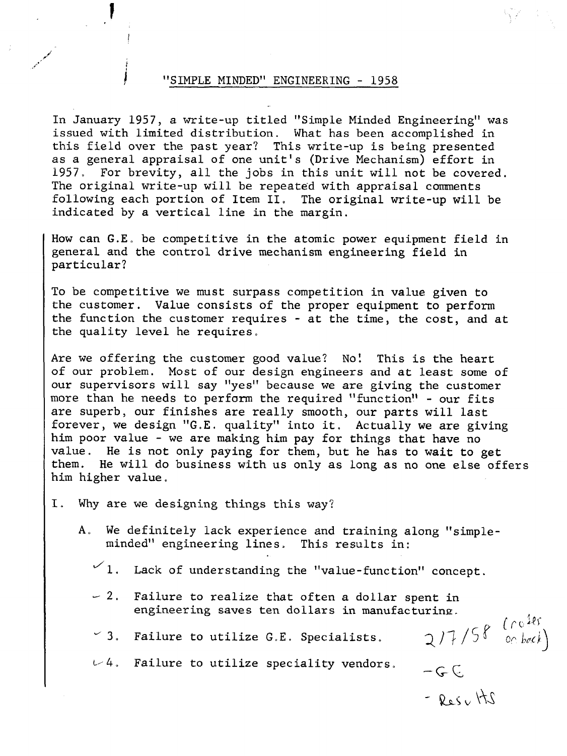## **<sup>1</sup>**"SIMPLE MINDEDt' ENGINEERING - 1958

In January 1957, a write-up titled "Simple Minded Engineering" was issued with limited distribution. What has been accomplished in this field over the past year? This write-up is being presented as a general appraisal of one unit's (Drive Mechanism) effort in 1957, For brevity, all the jobs in this unit will not be covered. The original write-up will be repeated with appraisal comments following each portion of Item **11,** The original write-up will be indicated by a vertical line in the margin.

How can **G.E,** be competitive in the atomic power equipment field in general and the control drive mechanism engineering field in particular?

To be competitive we must surpass competition in value given to the customer. Value consists of the proper equipment to perform the function the customer requires - at the time, the cost, and at the quality level he requires,

Are we offering the customer good value? NO! This is the heart of our problem. Most of our design ehgineers and at least some of our supervisors will say "yes" because we are giving the customer more than he needs to perform the required "function" - our fits are superb, our finishes are really smooth, our parts will last forever, we design "G.E. quality" into it. Actually we are giving him poor value - we are making him pay for things that have no value. He is not only paying for them, but he has to wait to get them. He will do business with us only as long as no one else offers him higher value,

- **I.** Why are we designing things this way?
	- **A,** We definitely lack experience and training along "simpleminded" engineering lines, This results in:
		- $1.$  Lack of understanding the "value-function" concept.
		- $-2$ . Failure to realize that often a dollar spent in engineering saves ten dollars in manufacturing.<br>Failure to utilize G.E. Specialists. 2/7/58  $\frac{(\text{c.18})}{\text{c.16}}$
		- <sup>2</sup> 3. Failure to utilize G.E. Specialists.

 $\nu$ 4. Failure to utilize speciality vendors.  $-G \subset$ 

- Results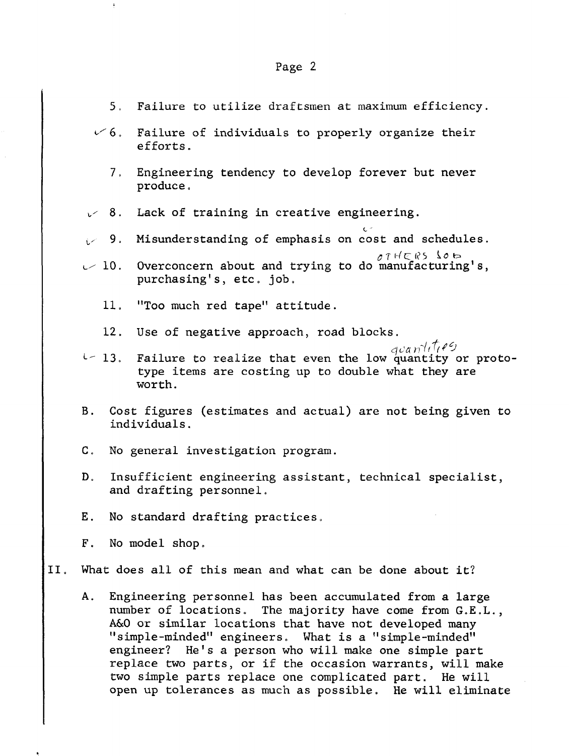- $16.$ Failure of individuals to properly organize their efforts.
	- $7<sub>1</sub>$ Engineering tendency to develop forever but never produce.
- $\vee$  8. Lack of training in creative engineering.

**c.** ' Misunderstanding of emphasis on cost and schedules.  $\sim$  9.  $77HER5$  SOb

Overconcern about and trying to do manufacturing's, purchasing's, etc, job.  $\sim 10.$ 

11. "Too much red tape" attitude.

12. Use of negative approach, road blocks.<br> $\frac{d}{dx} \int d^2y$ 

- Failure to realize that even the low quantity or proto- $-13$ . type items are costing up to double what they are worth.
- **B**. Cost figures (estimates and actual) are not being given to individuals .
- $\mathbf{C}$  . No general investigation program.
- $\mathbf{D}$ . Insufficient engineering assistant, technical specialist, and drafting personnel.
- No standard drafting practices,  $E_{\perp}$
- $F<sub>1</sub>$ No model shop.

11. What does all of this mean and what can be done about it?

**A.** Engineering personnel has been accumulated from a large number of locations. The majority have come from G.E.L., A&O or similar locations that have not developed many "simple-minded" engineers . What is a "simple-minded'' engineer? He's a person who will make one simple part replace two parts, or if the occasion warrants, will make two simple parts replace one complicated part. He will open up tolerances as **much** as possible. He will eliminate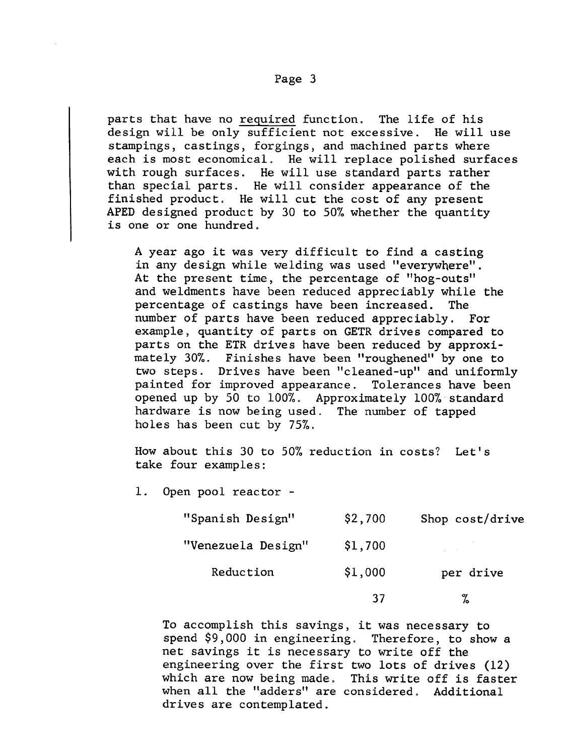parts that have no required function. The life of his design will be only sufficient not excessive. He will use stampings, castings, forgings, and machined parts where each is most economical. He will replace polished surfaces with rough surfaces. He will use standard parts rather than special parts. He will consider appearance of the finished product. He will cut the cost of any present APED designed product by 30 to 50% whether the quantity is one or one hundred.

A year ago it was very difficult to find a casting in any design while welding was used "everywhere". At the present time, the percentage of "hog-outs" and weldments have been reduced appreciably while the percentage of castings have been increased. The number of parts have been reduced appreciably. For example, quantity of parts on GETR drives compared to parts on the ETR drives have been reduced by approximately 30%. Finishes have been "roughened" by one to two steps. Drives have been "cleaned-up" and uniformly painted for improved appearance. Tolerances have been opened up by 50 to 100%. Approximately 100% standard hardware is now being used. The number of tapped holes has been cut by 75%.

How about this 30 to 50% reduction in costs? Let's take four examples:

1. Open pool reactor -

| "Spanish Design"   | \$2,700 | Shop cost/drive |
|--------------------|---------|-----------------|
| "Venezuela Design" | \$1,700 |                 |
| Reduction          | \$1,000 | per drive       |
|                    | 37      |                 |

To accomplish this savings, it was necessary to spend  $$9,000$  in engineering. net savings it is necessary to write off the engineering over the first two lots of drives (12) which are now being made. This write off is faster when all the ''adders" are considered. Additional drives are contemplated.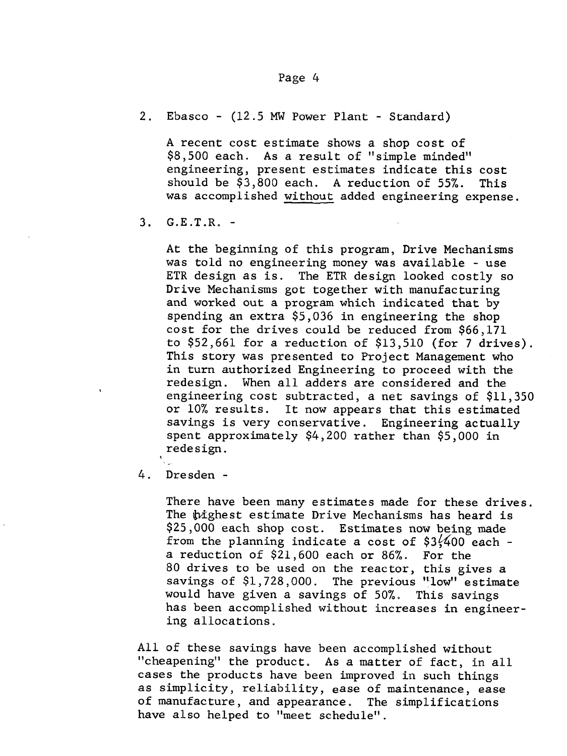Ebasco - (12.5 **MW** Power Plant - Standard)

**A** recent cost estimate shows a shop cost of \$8,500 each. As a result of "simple minded" engineering, present estimates indicate this cost should be \$3,800 each. A reduction of 55%. This was accomplished without added engineering expense.

 $3<sub>z</sub>$  $G.E.T.R. -$ 

> At the beginning of this program, Drive Mechanisms was told no engineering money was available - use ETR design as is. The ETR design looked costly so Drive Mechanisms got together with manufacturing and worked out a program which indicated that by spending an extra \$5,036 in engineering the shop cost for the drives could be reduced from \$66,171 to \$52,661 for a reduction of \$13,510 (for 7 drives). This story was presented to Project Management who in turn authorized Engineering to proceed with the redesign. When all adders are considered and the engineering cost subtracted, a net savings of \$11,350 or 10% results. It now appears that this estimated savings is very conservative. Engineering actually spent approximately \$4,200 rather than \$5,000 in redesign.

Dresden -

There have been many estimates made for these drives. The wighest estimate Drive Mechanisms has heard is \$25,000 each shop cost. Estimates now being made from the planning indicate a cost of  $$3\frac{400}{6}$  each a reduction of \$21,600 each or 86%. For the 80 drives to be used on the reactor, this gives a savings of \$1,728,000. The previous "low" estimate would have given a savings of 50%. This savings has been accomplished without increases in engineering allocations.

All of these savings have been accomplished without "cheapening" the product. As a matter of fact, in all cases the products have been improved in such things as simplicity, reliability, ease of maintenance, ease of manufacture, and appearance. The simplifications have also helped to "meet schedule".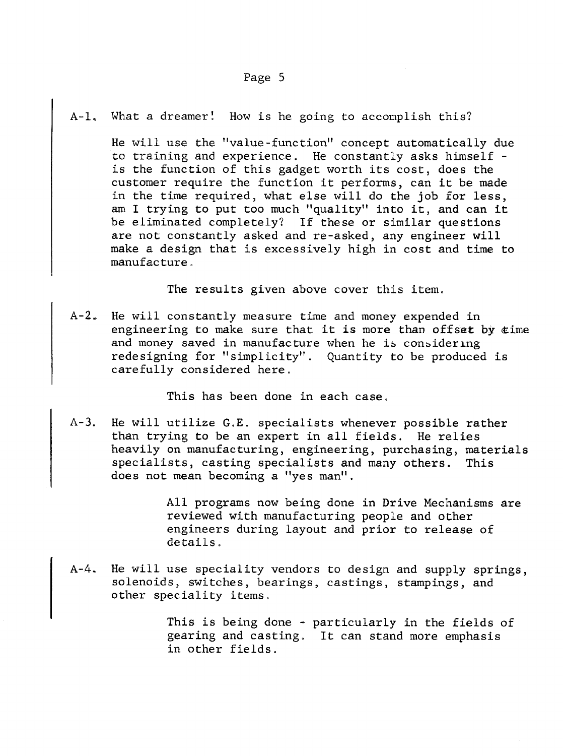A-1. What a dreamer! How is he going to accomplish this?

He will use the "value-function" concept automatically due to training and experience. He constantly asks himself is the function of this gadget worth its cost, does the customer require the function it performs, can it be made in the time required, what else will do the job for less, am I trying to put too much "quality" into it, and can it be eliminated completely? If these or similar questions are not constantly asked and re-asked, any engineer will make a design that is excessively high in cost and time to manufacture .

The results given above cover this item.

A-2. He will constantly measure time and money expended in engineering to make sure that it is more **than** offset by &ime and money saved in manufacture when he is considering redesigning for "simplicity". Quantity to be produced is carefully considered here.

This has been done in each case.

 $A-3$ . He will utilize G.E. specialists whenever possible rather than trying to be an expert in all fields. He relies heavily on manufacturing, engineering, purchasing, materials specialists, casting specialists and many others. This does not mean becoming a "yes man".

> All programs now being done in Drive Mechanisms are reviewed with manufacturing people and other engineers during layout and prior to release of details.

He will use speciality vendors to design and supply springs,  $A-4$ . solenoids, switches, bearings, castings, stampings, and other speciality items.

> This is being done - particularly in the fields of gearing and casting. It can stand more emphasis in other fields.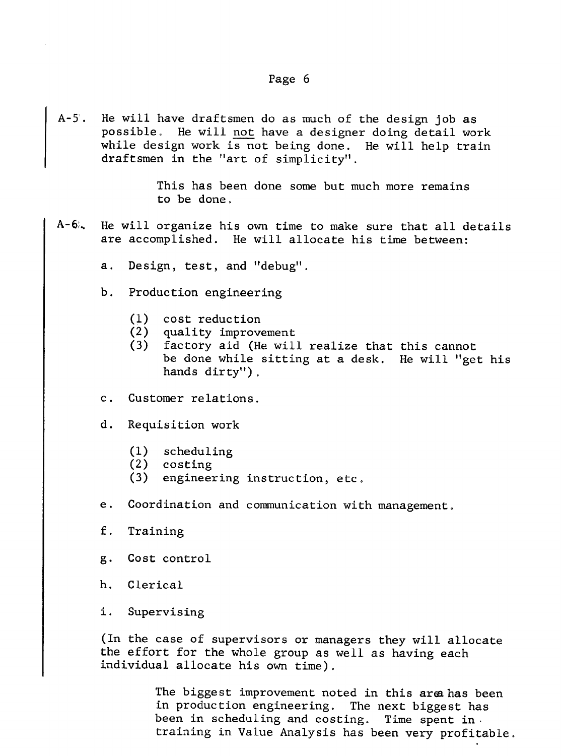Page 6<br>He will have draftsmen do as much of the design job as<br>possible. He will <u>not</u> have a designer doing detail work<br>while design work is not being done. He will help train  $A-5$ . He will have draftsmen do as much of the design job as possible. He will not have a designer doing detail work draftsmen in the "art of simplicity".

> This has been done some but much more remains to be done.

- $A 6$ . He will organize his own time to make sure that all details are accomplished. He will allocate his time between:
	- Design, test, and "debug".  $a<sub>x</sub>$
	- b. Production engineering
		- (1) cost reduction<br>(2) quality improve
		- (2) quality improvement<br>(3) factory aid (He wil
		- factory aid (He will realize that this cannot be done while sitting at a desk. He will "get his hands dirty") .
	- Customer relations.
	- Requisition work d.
		- (1) scheduling
		- (2) costing
		- **(3)** engineering instruction, etc.
	- Coordination and communication with management.
	- f. Training
	- Cost control
	- Clerical
	- i. Supervising

(In the case of supervisors or managers they will allocate the effort for the whole group as well as having each individual allocate his own time).

> The biggest improvement noted in this area has been in production engineering, The next biggest has been in scheduling and costing, Time spent in . training in Value Analysis has been very profitable.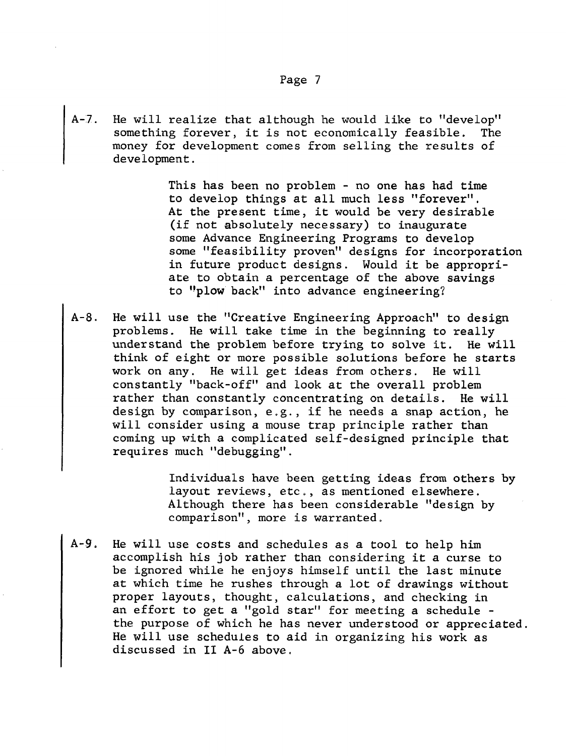A-7. He will realize that although he would like to "develop" something forever, it is not economically feasible. The money for development comes from selling the results of development.

> This has been no problem - no one has had time to develop things at all much less "forever". At the present time, it would be very desirable (if not absolutely necessary) to inaugurate some Advance Engineering Programs to develop some "feasibility proven" designs for incorporation in future product designs. Would it be appropriate to obtain a percentage of the above savings to **''plow** back" into advance engineering?

A-8. He will use the "Creative Engineering Approach" to design problems. He will take time in the beginning to really understand the problem before trying to solve it. He will think of eight or more possible solutions before he starts work on any. He will get ideas from others. He will constantly "back-off" and look at the overall problem rather than constantly concentrating on details. He will design by comparison, e.g., if he needs a snap action, he will consider using a mouse trap principle rather than coming up with a complicated self-designed principle that requires much "debugging".

> Individuals have been getting ideas from others by layout reviews, etc., as mentioned elsewhere. Although there has been considerable "design by comparison", more is warranted,

A-9. He will use costs and schedules as a tool to help him accomplish his job rather than considering it a curse to be ignored while he enjoys himself until the last minute at which time he rushes through a lot of drawings without proper layouts, thought, calculations, and checking in an effort to get a "gold star" for meeting a schedule the purpose of which he has never understood or appreciated. He will use schedules to aid in organizing his work as discussed in **I1 A-6** above.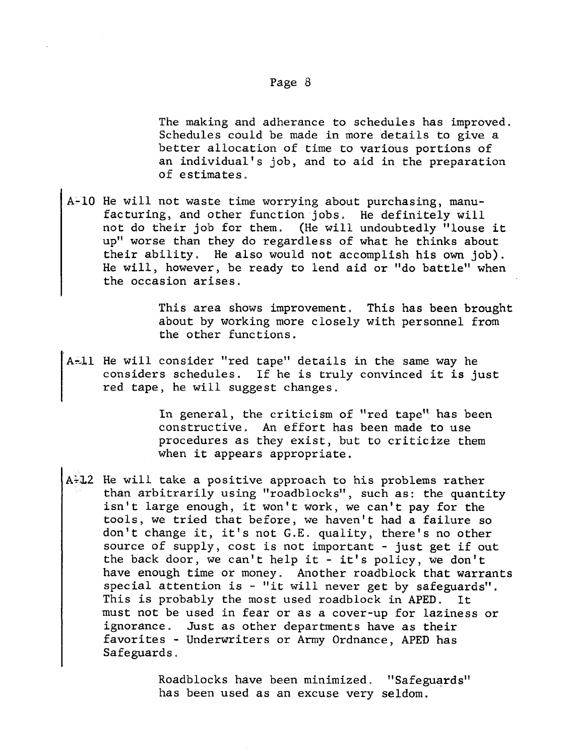The making and adherance to schedules has improved. Schedules could be made in more details to give a better allocation of time to various portions of an individual's job, and to aid in the preparation of estimates,

A-LO He will not waste time worrying about purchasing, manufacturing, and other function jobs, He definitely will not do their job for them. (He will undoubtedly "louse it up" worse than they do regardless of what he thinks about their ability. He also would not accomplish his own job). He will, however, be ready to lend aid or "do battle" when the occasion arises.

> This area shows improvement, This has been brought about by working more closely with personnel from the other functions.

A $11$  He will consider "red tape" details in the same way he considers schedules. If he is truly convinced it is just red tape, he will suggest changes.

> In general, the criticism of "red tape'' has been constructive. An effort has been made to use procedures as they exist, but to criticize them when it appears appropriate .

**A4L2** He will take a positive approach to his problems rather than arbitrarily using "roadblocks", such as: the quantity isn't large enough, it won't work, we can't pay for the tools, we tried that before, we haven't had a failure so don't change it, it's not G.E, quality, there's no other source of supply, cost is not important - just get if out the back door, we can't help it - it's policy, we don't have enough time or money. Another roadblock that warrants special attention is  $-$  "it will never get by safeguards". This is probably the most used roadblock in APED. It must not be used in fear or as a cover-up for laziness or ignorance. Just as other departments have as their favorites - Underwriters or Amy Ordnance, APED has Safeguards,

> Roadblocks have been minimized, "Safeguards" has been used as an excuse very seldom.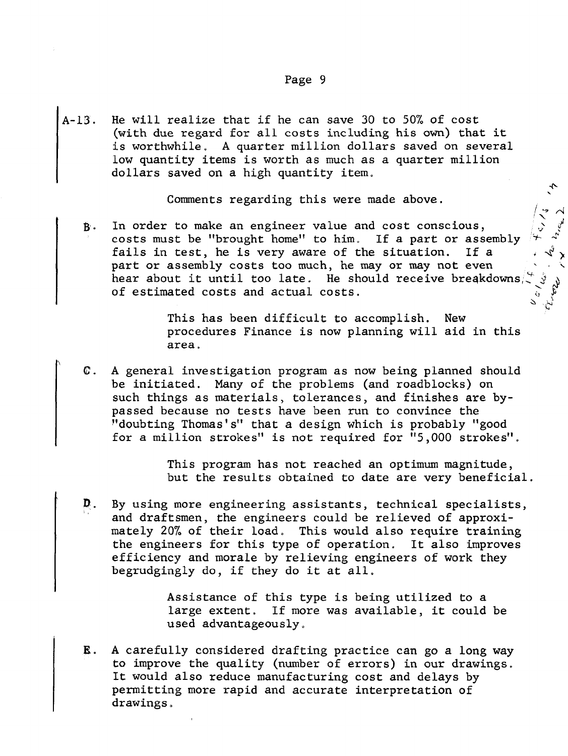He will realize that if he can save 30 to 50% of cost  $A-13$ . (with due regard for all costs including his own) that it is worthwhile. A quarter million dollars saved on several low quantity items is worth as much as a quarter million dollars saved on a high quantity item.

Comments regarding this were made above.

In order to make an engineer value and cost conscious,  $\mathbf{B}$ . costs must be "brought home" to him. If a part or assembly fails in test, he is very aware of the situation. If a part or assembly costs too much, he may or may not even  $\alpha$  hear about it until too late. He should receive breakdowns, of estimated costs and actual costs.

> This has been difficult to accomplish. New procedures Finance is now planning will aid in this area.

 $\boldsymbol{\gamma}$  $\mathbf{C}$ 

 $\sqrt{2}$   $\gamma$  $\sum_{i=1}^{n}$ 

م ن<br>م <sub>ري</sub>ا

 $\mathbb{C}$  . A general investigation program as now being planned should be initiated. Many of the problems (and roadblocks) on such things as materials, tolerances, and finishes are bypassed because no tests have been run to convince the "doubting Thomas's" that a design which is probably "good for a million strokes" is not required for "5,000 strokes".

> This program has not reached an optimum magnitude, but the results obtained to date are very beneficial.

D. By using more engineering assistants, technical specialists, and draftsmen, the engineers could be relieved of approximately 20% of their load, This would also require training the engineers for this type of operation. It also improves efficiency and morale by relieving engineers of work they begrudgingly do, if they do it at all,

> Assistance of this type is being utilized to a large extent. If more was available, it could be used advantageously,

 ${\bf E}$ . A carefully considered drafting practice can go a long way to improve the quality (number of errors) in our drawings. It would also reduce manufacturing cost and delays by permitting more rapid and accurate interpretation of drawings.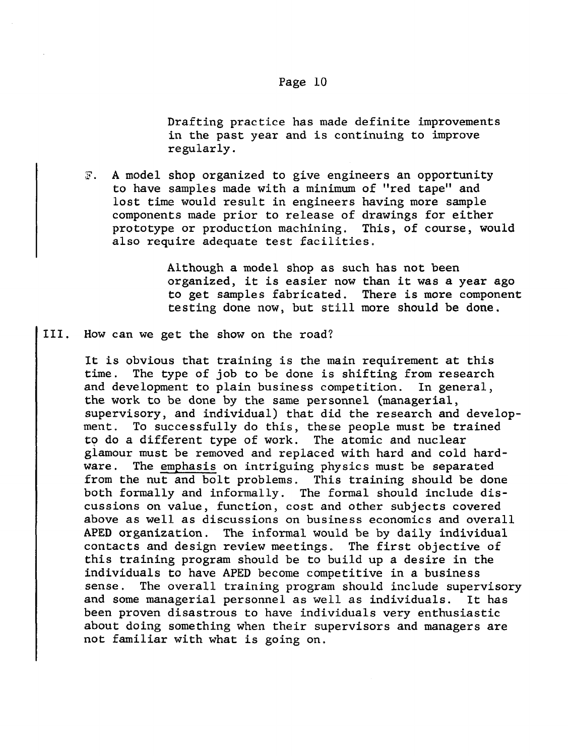Drafting practice has made definite improvements in the past year and is continuing to improve regularly.

3. **A** model shop organized to give engineers an opportunity to have samples made with a minimum of "red tape" and lost time would result in engineers having more sample components made prior to release of drawings for either prototype or production machining. This, of course, would also require adequate test facilities.

> Although a model shop as such has not been organized, it is easier now than it was a year ago to get samples fabricated. There is more component testing done now, but still more should be done.

#### III. How can we get the show on the road?

It is obvious that training is the main requirement at this time. The type of job to be done is shifting from research and development to plain business competition. In general, the work to be done by the same personnel (managerial, supervisory, and individual) that did the research and development. To successfully do this, these people must be trained to do a different type of work. The atomic and nuclear glamour must be removed and replaced with hard and cold hardware. The emphasis on intriguing physics must be separated from the nut and bolt problems. This training should be done both formally and informally. The formal should include discussions on value, function, cost and other subjects covered above as well as discussions on business economics and overall APED organization. The informal would be by daily individual contacts and design review meetings. The first objective of this training program should be to build up a desire in the individuals to have APED become competitive in a business sense. The overall training program should include supervisory and some managerial personnel as well as individuals. It has been proven disastrous to have individuals very enthusiastic about doing something when their supervisors and managers are not familiar with what is going on.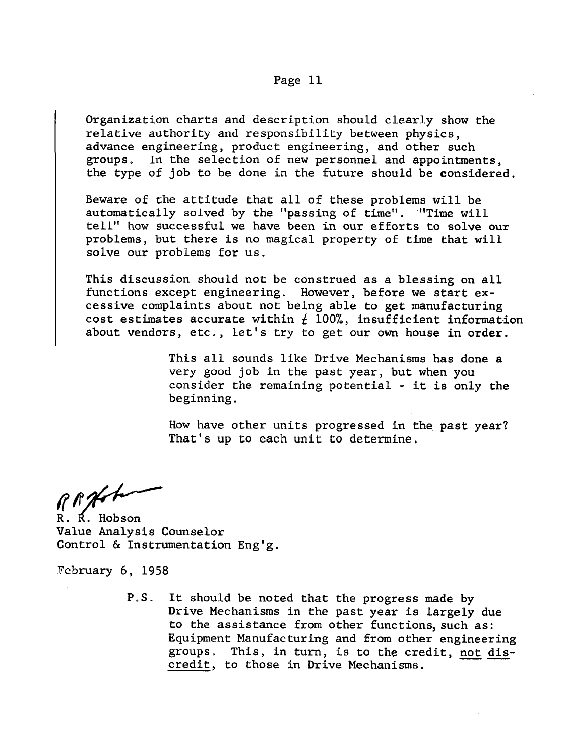Organization charts and description should clearly show the relative authority and responsibility between physics, advance engineering, product engineering, and other such groups. In the selection of new personnel and appointments, the type of job to be done in the future should be considered.

Beware of the attitude that all of these problems will be automatically solved by the "passing of time". "Time will tell" how successful we have been in our efforts to solve our problems, but there is no magical property of time that will solve our problems for us.

This discussion should not be construed as a blessing on all functions except engineering. However, before we start excessive complaints about not being able to get manufacturing cost estimates accurate within  $f$  100%, insufficient information about vendors, etc., let's try to get our own house in order.

> This all sounds like Drive Mechanisms has done a very good job in the past year, but when you consider the remaining potential - it is only the beginning.

> How have other units progressed in the past year? That's up to each unit to determine.

PRAch

**R. R.** Hobson Value Analysis Counselor Control & Instrumentation Eng'g.

February 6, 1958

**P.S.** It should be noted that the progress made by Drive Mechanisms in the past year is largely due to the assistance from other functions, such as: Equipment Manufacturing and 5rom other engineering It should be noted that the progress made by<br>Drive Mechanisms in the past year is largely due<br>to the assistance from other functions, such as:<br>Equipment Manufacturing and from other engineering<br>groups. This, in turn, is to credit, to those in Drive Mechanisms.